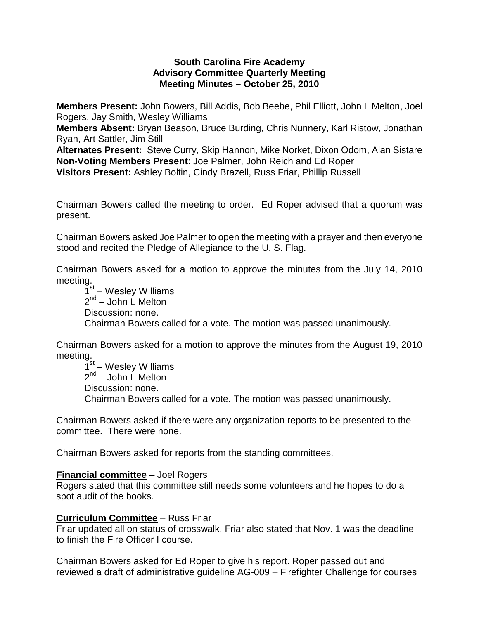## **South Carolina Fire Academy Advisory Committee Quarterly Meeting Meeting Minutes – October 25, 2010**

**Members Present:** John Bowers, Bill Addis, Bob Beebe, Phil Elliott, John L Melton, Joel Rogers, Jay Smith, Wesley Williams

**Members Absent:** Bryan Beason, Bruce Burding, Chris Nunnery, Karl Ristow, Jonathan Ryan, Art Sattler, Jim Still

**Alternates Present:** Steve Curry, Skip Hannon, Mike Norket, Dixon Odom, Alan Sistare **Non-Voting Members Present**: Joe Palmer, John Reich and Ed Roper **Visitors Present:** Ashley Boltin, Cindy Brazell, Russ Friar, Phillip Russell

Chairman Bowers called the meeting to order. Ed Roper advised that a quorum was present.

Chairman Bowers asked Joe Palmer to open the meeting with a prayer and then everyone stood and recited the Pledge of Allegiance to the U. S. Flag.

Chairman Bowers asked for a motion to approve the minutes from the July 14, 2010 meeting.

 $1<sup>st</sup>$  – Wesley Williams  $2^{nd}$  – John L Melton Discussion: none. Chairman Bowers called for a vote. The motion was passed unanimously.

Chairman Bowers asked for a motion to approve the minutes from the August 19, 2010 meeting.

 $1<sup>st</sup>$  – Wesley Williams  $2^{nd}$  – John L Melton Discussion: none. Chairman Bowers called for a vote. The motion was passed unanimously.

Chairman Bowers asked if there were any organization reports to be presented to the committee. There were none.

Chairman Bowers asked for reports from the standing committees.

## **Financial committee** – Joel Rogers

Rogers stated that this committee still needs some volunteers and he hopes to do a spot audit of the books.

## **Curriculum Committee** – Russ Friar

Friar updated all on status of crosswalk. Friar also stated that Nov. 1 was the deadline to finish the Fire Officer I course.

Chairman Bowers asked for Ed Roper to give his report. Roper passed out and reviewed a draft of administrative guideline AG-009 – Firefighter Challenge for courses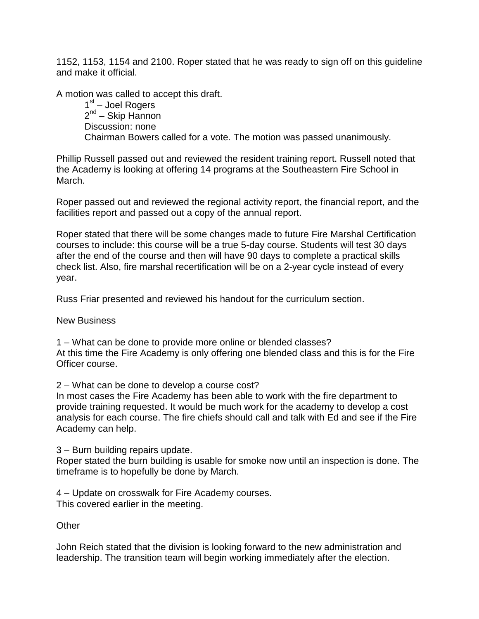1152, 1153, 1154 and 2100. Roper stated that he was ready to sign off on this guideline and make it official.

A motion was called to accept this draft.

 $1<sup>st</sup>$  – Joel Rogers 2<sup>nd</sup> – Skip Hannon Discussion: none Chairman Bowers called for a vote. The motion was passed unanimously.

Phillip Russell passed out and reviewed the resident training report. Russell noted that the Academy is looking at offering 14 programs at the Southeastern Fire School in March.

Roper passed out and reviewed the regional activity report, the financial report, and the facilities report and passed out a copy of the annual report.

Roper stated that there will be some changes made to future Fire Marshal Certification courses to include: this course will be a true 5-day course. Students will test 30 days after the end of the course and then will have 90 days to complete a practical skills check list. Also, fire marshal recertification will be on a 2-year cycle instead of every year.

Russ Friar presented and reviewed his handout for the curriculum section.

New Business

1 – What can be done to provide more online or blended classes? At this time the Fire Academy is only offering one blended class and this is for the Fire Officer course.

2 – What can be done to develop a course cost?

In most cases the Fire Academy has been able to work with the fire department to provide training requested. It would be much work for the academy to develop a cost analysis for each course. The fire chiefs should call and talk with Ed and see if the Fire Academy can help.

3 – Burn building repairs update.

Roper stated the burn building is usable for smoke now until an inspection is done. The timeframe is to hopefully be done by March.

4 – Update on crosswalk for Fire Academy courses. This covered earlier in the meeting.

**Other** 

John Reich stated that the division is looking forward to the new administration and leadership. The transition team will begin working immediately after the election.